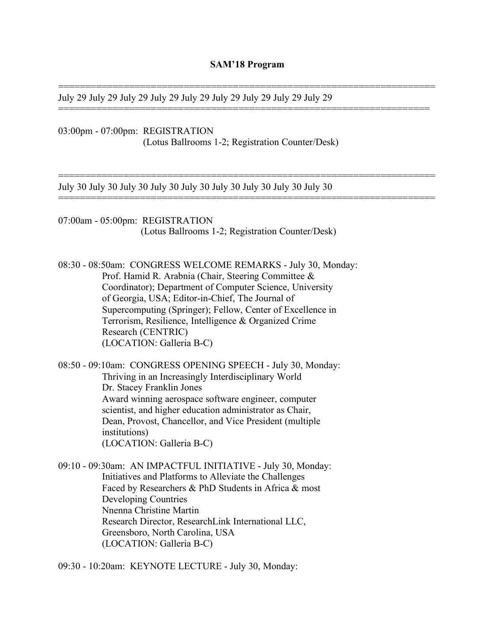=====================================================================

====================================================================

=====================================================================

=====================================================================

July 29 July 29 July 29 July 29 July 29 July 29 July 29 July 29 July 29

03:00pm - 07:00pm: REGISTRATION (Lotus Ballrooms 1-2; Registration Counter/Desk)

July 30 July 30 July 30 July 30 July 30 July 30 July 30 July 30 July 30

07:00am - 05:00pm: REGISTRATION (Lotus Ballrooms 1-2; Registration Counter/Desk)

08:30 - 08:50am: CONGRESS WELCOME REMARKS - July 30, Monday: Prof. Hamid R. Arabnia (Chair, Steering Committee & Coordinator); Department of Computer Science, University of Georgia, USA; Editor-in-Chief, The Journal of Supercomputing (Springer); Fellow, Center of Excellence in Terrorism, Resilience, Intelligence & Organized Crime Research (CENTRIC) (LOCATION: Galleria B-C)

08:50 - 09:10am: CONGRESS OPENING SPEECH - July 30, Monday: Thriving in an Increasingly Interdisciplinary World Dr. Stacey Franklin Jones Award winning aerospace software engineer, computer scientist, and higher education administrator as Chair, Dean, Provost, Chancellor, and Vice President (multiple institutions) (LOCATION: Galleria B-C)

09:10 - 09:30am: AN IMPACTFUL INITIATIVE - July 30, Monday: Initiatives and Platforms to Alleviate the Challenges Faced by Researchers & PhD Students in Africa & most Developing Countries Nnenna Christine Martin Research Director, ResearchLink International LLC, Greensboro, North Carolina, USA (LOCATION: Galleria B-C)

09:30 - 10:20am: KEYNOTE LECTURE - July 30, Monday: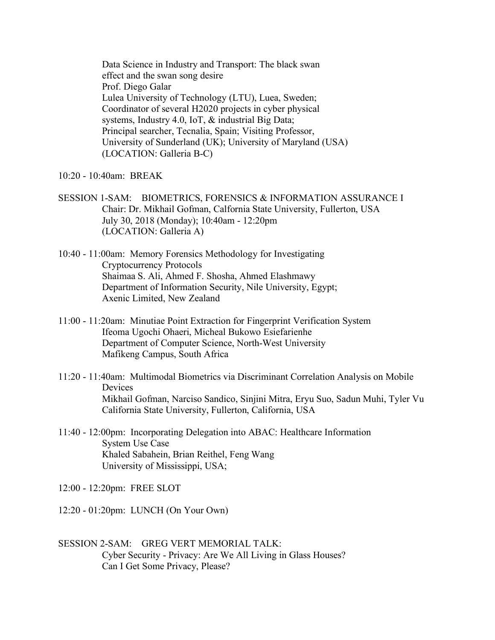Data Science in Industry and Transport: The black swan effect and the swan song desire Prof. Diego Galar Lulea University of Technology (LTU), Luea, Sweden; Coordinator of several H2020 projects in cyber physical systems, Industry 4.0, IoT, & industrial Big Data; Principal searcher, Tecnalia, Spain; Visiting Professor, University of Sunderland (UK); University of Maryland (USA) (LOCATION: Galleria B-C)

- 10:20 10:40am: BREAK
- SESSION 1-SAM: BIOMETRICS, FORENSICS & INFORMATION ASSURANCE I Chair: Dr. Mikhail Gofman, Calfornia State University, Fullerton, USA July 30, 2018 (Monday); 10:40am - 12:20pm (LOCATION: Galleria A)
- 10:40 11:00am: Memory Forensics Methodology for Investigating Cryptocurrency Protocols Shaimaa S. Ali, Ahmed F. Shosha, Ahmed Elashmawy Department of Information Security, Nile University, Egypt; Axenic Limited, New Zealand
- 11:00 11:20am: Minutiae Point Extraction for Fingerprint Verification System Ifeoma Ugochi Ohaeri, Micheal Bukowo Esiefarienhe Department of Computer Science, North-West University Mafikeng Campus, South Africa
- 11:20 11:40am: Multimodal Biometrics via Discriminant Correlation Analysis on Mobile Devices Mikhail Gofman, Narciso Sandico, Sinjini Mitra, Eryu Suo, Sadun Muhi, Tyler Vu California State University, Fullerton, California, USA
- 11:40 12:00pm: Incorporating Delegation into ABAC: Healthcare Information System Use Case Khaled Sabahein, Brian Reithel, Feng Wang University of Mississippi, USA;
- 12:00 12:20pm: FREE SLOT
- 12:20 01:20pm: LUNCH (On Your Own)
- SESSION 2-SAM: GREG VERT MEMORIAL TALK: Cyber Security - Privacy: Are We All Living in Glass Houses? Can I Get Some Privacy, Please?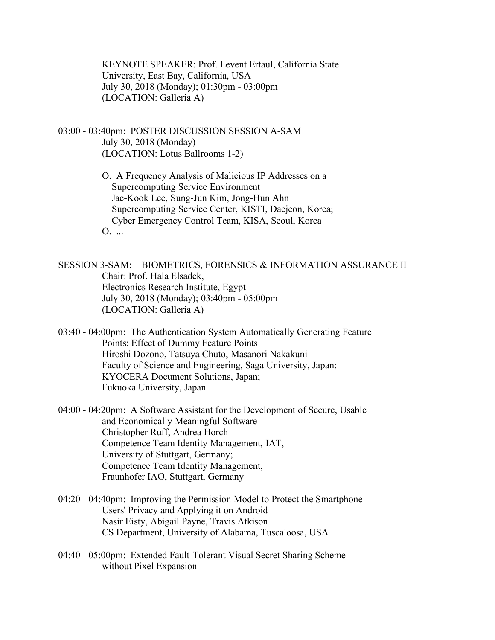KEYNOTE SPEAKER: Prof. Levent Ertaul, California State University, East Bay, California, USA July 30, 2018 (Monday); 01:30pm - 03:00pm (LOCATION: Galleria A)

- 03:00 03:40pm: POSTER DISCUSSION SESSION A-SAM July 30, 2018 (Monday) (LOCATION: Lotus Ballrooms 1-2)
	- O. A Frequency Analysis of Malicious IP Addresses on a Supercomputing Service Environment Jae-Kook Lee, Sung-Jun Kim, Jong-Hun Ahn Supercomputing Service Center, KISTI, Daejeon, Korea; Cyber Emergency Control Team, KISA, Seoul, Korea O. ...

SESSION 3-SAM: BIOMETRICS, FORENSICS & INFORMATION ASSURANCE II Chair: Prof. Hala Elsadek, Electronics Research Institute, Egypt July 30, 2018 (Monday); 03:40pm - 05:00pm (LOCATION: Galleria A)

- 03:40 04:00pm: The Authentication System Automatically Generating Feature Points: Effect of Dummy Feature Points Hiroshi Dozono, Tatsuya Chuto, Masanori Nakakuni Faculty of Science and Engineering, Saga University, Japan; KYOCERA Document Solutions, Japan; Fukuoka University, Japan
- 04:00 04:20pm: A Software Assistant for the Development of Secure, Usable and Economically Meaningful Software Christopher Ruff, Andrea Horch Competence Team Identity Management, IAT, University of Stuttgart, Germany; Competence Team Identity Management, Fraunhofer IAO, Stuttgart, Germany
- 04:20 04:40pm: Improving the Permission Model to Protect the Smartphone Users' Privacy and Applying it on Android Nasir Eisty, Abigail Payne, Travis Atkison CS Department, University of Alabama, Tuscaloosa, USA
- 04:40 05:00pm: Extended Fault-Tolerant Visual Secret Sharing Scheme without Pixel Expansion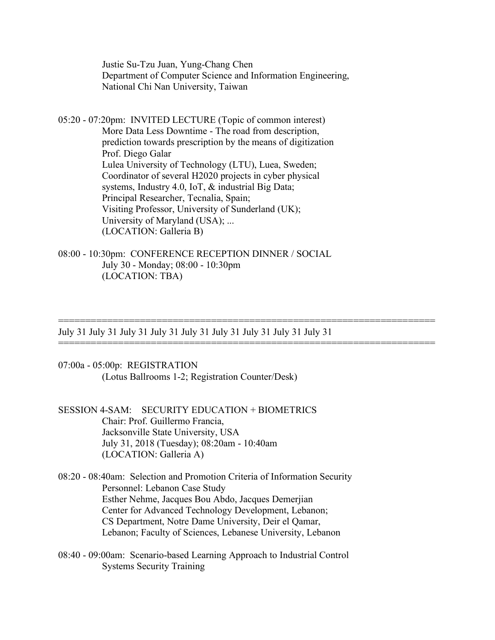Justie Su-Tzu Juan, Yung-Chang Chen Department of Computer Science and Information Engineering, National Chi Nan University, Taiwan

05:20 - 07:20pm: INVITED LECTURE (Topic of common interest) More Data Less Downtime - The road from description, prediction towards prescription by the means of digitization Prof. Diego Galar Lulea University of Technology (LTU), Luea, Sweden; Coordinator of several H2020 projects in cyber physical systems, Industry 4.0, IoT, & industrial Big Data; Principal Researcher, Tecnalia, Spain; Visiting Professor, University of Sunderland (UK); University of Maryland (USA); ... (LOCATION: Galleria B)

08:00 - 10:30pm: CONFERENCE RECEPTION DINNER / SOCIAL July 30 - Monday; 08:00 - 10:30pm (LOCATION: TBA)

July 31 July 31 July 31 July 31 July 31 July 31 July 31 July 31 July 31

=====================================================================

=====================================================================

- 07:00a 05:00p: REGISTRATION (Lotus Ballrooms 1-2; Registration Counter/Desk)
- SESSION 4-SAM: SECURITY EDUCATION + BIOMETRICS Chair: Prof. Guillermo Francia, Jacksonville State University, USA July 31, 2018 (Tuesday); 08:20am - 10:40am (LOCATION: Galleria A)

08:20 - 08:40am: Selection and Promotion Criteria of Information Security Personnel: Lebanon Case Study Esther Nehme, Jacques Bou Abdo, Jacques Demerjian Center for Advanced Technology Development, Lebanon; CS Department, Notre Dame University, Deir el Qamar, Lebanon; Faculty of Sciences, Lebanese University, Lebanon

08:40 - 09:00am: Scenario-based Learning Approach to Industrial Control Systems Security Training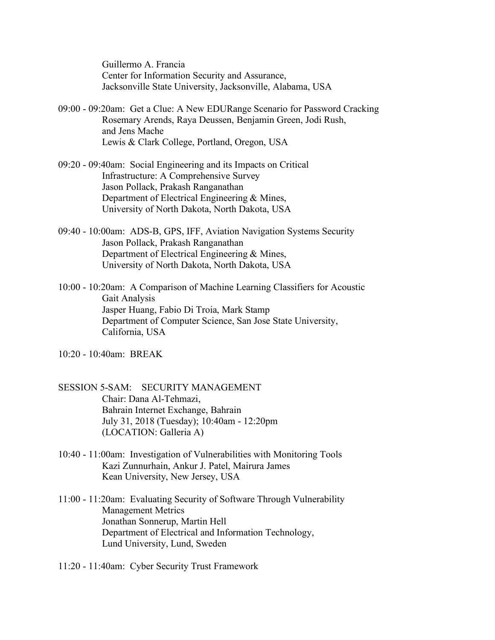Guillermo A. Francia Center for Information Security and Assurance, Jacksonville State University, Jacksonville, Alabama, USA

- 09:00 09:20am: Get a Clue: A New EDURange Scenario for Password Cracking Rosemary Arends, Raya Deussen, Benjamin Green, Jodi Rush, and Jens Mache Lewis & Clark College, Portland, Oregon, USA
- 09:20 09:40am: Social Engineering and its Impacts on Critical Infrastructure: A Comprehensive Survey Jason Pollack, Prakash Ranganathan Department of Electrical Engineering & Mines, University of North Dakota, North Dakota, USA
- 09:40 10:00am: ADS-B, GPS, IFF, Aviation Navigation Systems Security Jason Pollack, Prakash Ranganathan Department of Electrical Engineering & Mines, University of North Dakota, North Dakota, USA
- 10:00 10:20am: A Comparison of Machine Learning Classifiers for Acoustic Gait Analysis Jasper Huang, Fabio Di Troia, Mark Stamp Department of Computer Science, San Jose State University, California, USA

10:20 - 10:40am: BREAK

- SESSION 5-SAM: SECURITY MANAGEMENT Chair: Dana Al-Tehmazi, Bahrain Internet Exchange, Bahrain July 31, 2018 (Tuesday); 10:40am - 12:20pm (LOCATION: Galleria A)
- 10:40 11:00am: Investigation of Vulnerabilities with Monitoring Tools Kazi Zunnurhain, Ankur J. Patel, Mairura James Kean University, New Jersey, USA
- 11:00 11:20am: Evaluating Security of Software Through Vulnerability Management Metrics Jonathan Sonnerup, Martin Hell Department of Electrical and Information Technology, Lund University, Lund, Sweden
- 11:20 11:40am: Cyber Security Trust Framework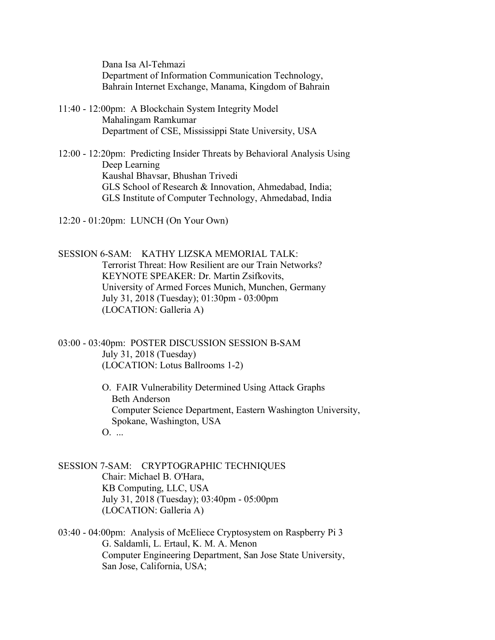Dana Isa Al-Tehmazi Department of Information Communication Technology, Bahrain Internet Exchange, Manama, Kingdom of Bahrain

- 11:40 12:00pm: A Blockchain System Integrity Model Mahalingam Ramkumar Department of CSE, Mississippi State University, USA
- 12:00 12:20pm: Predicting Insider Threats by Behavioral Analysis Using Deep Learning Kaushal Bhavsar, Bhushan Trivedi GLS School of Research & Innovation, Ahmedabad, India; GLS Institute of Computer Technology, Ahmedabad, India

12:20 - 01:20pm: LUNCH (On Your Own)

SESSION 6-SAM: KATHY LIZSKA MEMORIAL TALK: Terrorist Threat: How Resilient are our Train Networks? KEYNOTE SPEAKER: Dr. Martin Zsifkovits, University of Armed Forces Munich, Munchen, Germany July 31, 2018 (Tuesday); 01:30pm - 03:00pm (LOCATION: Galleria A)

03:00 - 03:40pm: POSTER DISCUSSION SESSION B-SAM July 31, 2018 (Tuesday) (LOCATION: Lotus Ballrooms 1-2)

> O. FAIR Vulnerability Determined Using Attack Graphs Beth Anderson Computer Science Department, Eastern Washington University, Spokane, Washington, USA  $\Omega$ . ...

SESSION 7-SAM: CRYPTOGRAPHIC TECHNIQUES Chair: Michael B. O'Hara, KB Computing, LLC, USA July 31, 2018 (Tuesday); 03:40pm - 05:00pm (LOCATION: Galleria A)

03:40 - 04:00pm: Analysis of McEliece Cryptosystem on Raspberry Pi 3 G. Saldamli, L. Ertaul, K. M. A. Menon Computer Engineering Department, San Jose State University, San Jose, California, USA;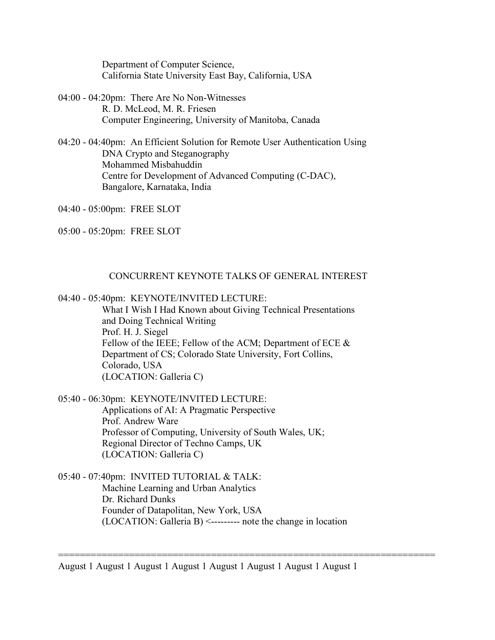Department of Computer Science, California State University East Bay, California, USA

- 04:00 04:20pm: There Are No Non-Witnesses R. D. McLeod, M. R. Friesen Computer Engineering, University of Manitoba, Canada
- 04:20 04:40pm: An Efficient Solution for Remote User Authentication Using DNA Crypto and Steganography Mohammed Misbahuddin Centre for Development of Advanced Computing (C-DAC), Bangalore, Karnataka, India

04:40 - 05:00pm: FREE SLOT

05:00 - 05:20pm: FREE SLOT

## CONCURRENT KEYNOTE TALKS OF GENERAL INTEREST

04:40 - 05:40pm: KEYNOTE/INVITED LECTURE:

 What I Wish I Had Known about Giving Technical Presentations and Doing Technical Writing Prof. H. J. Siegel Fellow of the IEEE; Fellow of the ACM; Department of ECE  $\&$  Department of CS; Colorado State University, Fort Collins, Colorado, USA (LOCATION: Galleria C)

05:40 - 06:30pm: KEYNOTE/INVITED LECTURE: Applications of AI: A Pragmatic Perspective Prof. Andrew Ware Professor of Computing, University of South Wales, UK; Regional Director of Techno Camps, UK (LOCATION: Galleria C)

05:40 - 07:40pm: INVITED TUTORIAL & TALK: Machine Learning and Urban Analytics Dr. Richard Dunks Founder of Datapolitan, New York, USA (LOCATION: Galleria B) <--------- note the change in location

August 1 August 1 August 1 August 1 August 1 August 1 August 1 August 1

=====================================================================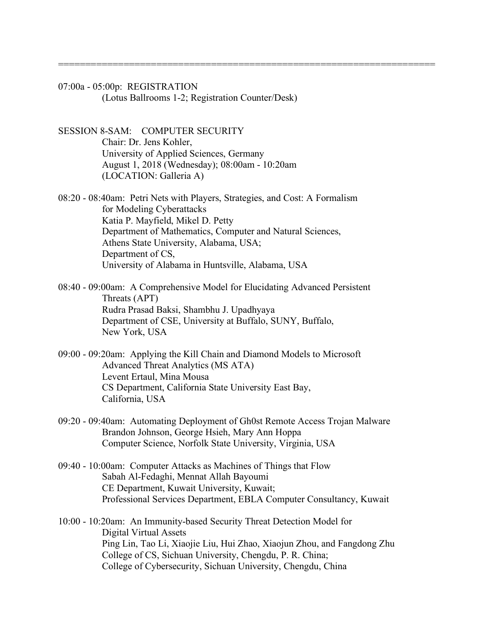07:00a - 05:00p: REGISTRATION (Lotus Ballrooms 1-2; Registration Counter/Desk)

SESSION 8-SAM: COMPUTER SECURITY Chair: Dr. Jens Kohler, University of Applied Sciences, Germany August 1, 2018 (Wednesday); 08:00am - 10:20am (LOCATION: Galleria A)

08:20 - 08:40am: Petri Nets with Players, Strategies, and Cost: A Formalism for Modeling Cyberattacks Katia P. Mayfield, Mikel D. Petty Department of Mathematics, Computer and Natural Sciences, Athens State University, Alabama, USA; Department of CS, University of Alabama in Huntsville, Alabama, USA

=====================================================================

- 08:40 09:00am: A Comprehensive Model for Elucidating Advanced Persistent Threats (APT) Rudra Prasad Baksi, Shambhu J. Upadhyaya Department of CSE, University at Buffalo, SUNY, Buffalo, New York, USA
- 09:00 09:20am: Applying the Kill Chain and Diamond Models to Microsoft Advanced Threat Analytics (MS ATA) Levent Ertaul, Mina Mousa CS Department, California State University East Bay, California, USA
- 09:20 09:40am: Automating Deployment of Gh0st Remote Access Trojan Malware Brandon Johnson, George Hsieh, Mary Ann Hoppa Computer Science, Norfolk State University, Virginia, USA
- 09:40 10:00am: Computer Attacks as Machines of Things that Flow Sabah Al-Fedaghi, Mennat Allah Bayoumi CE Department, Kuwait University, Kuwait; Professional Services Department, EBLA Computer Consultancy, Kuwait

10:00 - 10:20am: An Immunity-based Security Threat Detection Model for Digital Virtual Assets Ping Lin, Tao Li, Xiaojie Liu, Hui Zhao, Xiaojun Zhou, and Fangdong Zhu College of CS, Sichuan University, Chengdu, P. R. China; College of Cybersecurity, Sichuan University, Chengdu, China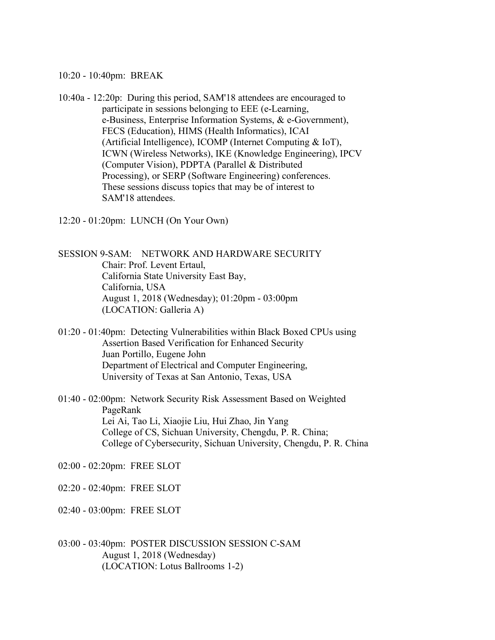10:20 - 10:40pm: BREAK

10:40a - 12:20p: During this period, SAM'18 attendees are encouraged to participate in sessions belonging to EEE (e-Learning, e-Business, Enterprise Information Systems, & e-Government), FECS (Education), HIMS (Health Informatics), ICAI (Artificial Intelligence), ICOMP (Internet Computing & IoT), ICWN (Wireless Networks), IKE (Knowledge Engineering), IPCV (Computer Vision), PDPTA (Parallel & Distributed Processing), or SERP (Software Engineering) conferences. These sessions discuss topics that may be of interest to SAM'18 attendees.

12:20 - 01:20pm: LUNCH (On Your Own)

SESSION 9-SAM: NETWORK AND HARDWARE SECURITY Chair: Prof. Levent Ertaul, California State University East Bay, California, USA August 1, 2018 (Wednesday); 01:20pm - 03:00pm (LOCATION: Galleria A)

- 01:20 01:40pm: Detecting Vulnerabilities within Black Boxed CPUs using Assertion Based Verification for Enhanced Security Juan Portillo, Eugene John Department of Electrical and Computer Engineering, University of Texas at San Antonio, Texas, USA
- 01:40 02:00pm: Network Security Risk Assessment Based on Weighted PageRank Lei Ai, Tao Li, Xiaojie Liu, Hui Zhao, Jin Yang College of CS, Sichuan University, Chengdu, P. R. China; College of Cybersecurity, Sichuan University, Chengdu, P. R. China

02:00 - 02:20pm: FREE SLOT

02:20 - 02:40pm: FREE SLOT

02:40 - 03:00pm: FREE SLOT

03:00 - 03:40pm: POSTER DISCUSSION SESSION C-SAM August 1, 2018 (Wednesday) (LOCATION: Lotus Ballrooms 1-2)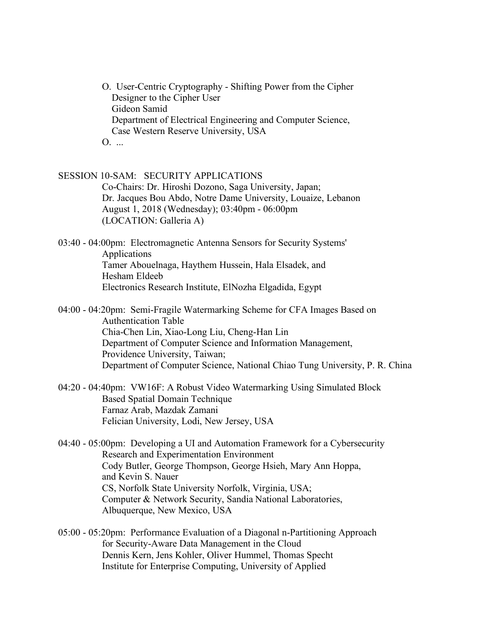O. User-Centric Cryptography - Shifting Power from the Cipher Designer to the Cipher User Gideon Samid Department of Electrical Engineering and Computer Science, Case Western Reserve University, USA  $0.$ ...

SESSION 10-SAM: SECURITY APPLICATIONS Co-Chairs: Dr. Hiroshi Dozono, Saga University, Japan; Dr. Jacques Bou Abdo, Notre Dame University, Louaize, Lebanon August 1, 2018 (Wednesday); 03:40pm - 06:00pm (LOCATION: Galleria A)

03:40 - 04:00pm: Electromagnetic Antenna Sensors for Security Systems' Applications Tamer Abouelnaga, Haythem Hussein, Hala Elsadek, and Hesham Eldeeb Electronics Research Institute, ElNozha Elgadida, Egypt

- 04:00 04:20pm: Semi-Fragile Watermarking Scheme for CFA Images Based on Authentication Table Chia-Chen Lin, Xiao-Long Liu, Cheng-Han Lin Department of Computer Science and Information Management, Providence University, Taiwan; Department of Computer Science, National Chiao Tung University, P. R. China
- 04:20 04:40pm: VW16F: A Robust Video Watermarking Using Simulated Block Based Spatial Domain Technique Farnaz Arab, Mazdak Zamani Felician University, Lodi, New Jersey, USA
- 04:40 05:00pm: Developing a UI and Automation Framework for a Cybersecurity Research and Experimentation Environment Cody Butler, George Thompson, George Hsieh, Mary Ann Hoppa, and Kevin S. Nauer CS, Norfolk State University Norfolk, Virginia, USA; Computer & Network Security, Sandia National Laboratories, Albuquerque, New Mexico, USA
- 05:00 05:20pm: Performance Evaluation of a Diagonal n-Partitioning Approach for Security-Aware Data Management in the Cloud Dennis Kern, Jens Kohler, Oliver Hummel, Thomas Specht Institute for Enterprise Computing, University of Applied